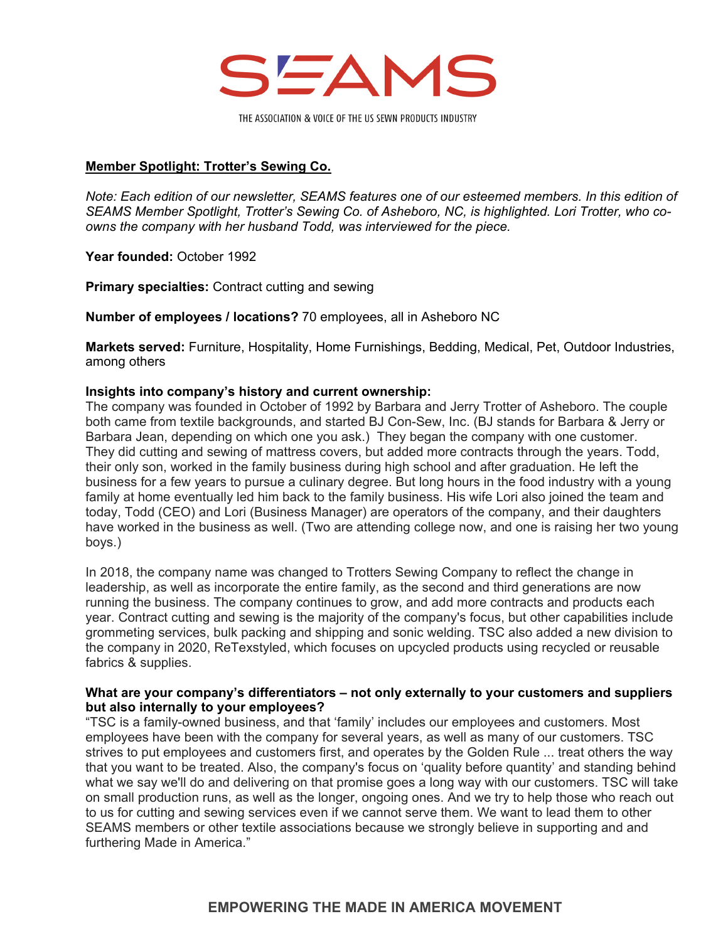

## **Member Spotlight: Trotter's Sewing Co.**

*Note: Each edition of our newsletter, SEAMS features one of our esteemed members. In this edition of SEAMS Member Spotlight, Trotter's Sewing Co. of Asheboro, NC, is highlighted. Lori Trotter, who coowns the company with her husband Todd, was interviewed for the piece.* 

**Year founded:** October 1992

**Primary specialties: Contract cutting and sewing** 

**Number of employees / locations?** 70 employees, all in Asheboro NC

**Markets served:** Furniture, Hospitality, Home Furnishings, Bedding, Medical, Pet, Outdoor Industries, among others

### **Insights into company's history and current ownership:**

The company was founded in October of 1992 by Barbara and Jerry Trotter of Asheboro. The couple both came from textile backgrounds, and started BJ Con-Sew, Inc. (BJ stands for Barbara & Jerry or Barbara Jean, depending on which one you ask.) They began the company with one customer. They did cutting and sewing of mattress covers, but added more contracts through the years. Todd, their only son, worked in the family business during high school and after graduation. He left the business for a few years to pursue a culinary degree. But long hours in the food industry with a young family at home eventually led him back to the family business. His wife Lori also joined the team and today, Todd (CEO) and Lori (Business Manager) are operators of the company, and their daughters have worked in the business as well. (Two are attending college now, and one is raising her two young boys.)

In 2018, the company name was changed to Trotters Sewing Company to reflect the change in leadership, as well as incorporate the entire family, as the second and third generations are now running the business. The company continues to grow, and add more contracts and products each year. Contract cutting and sewing is the majority of the company's focus, but other capabilities include grommeting services, bulk packing and shipping and sonic welding. TSC also added a new division to the company in 2020, ReTexstyled, which focuses on upcycled products using recycled or reusable fabrics & supplies.

### **What are your company's differentiators – not only externally to your customers and suppliers but also internally to your employees?**

"TSC is a family-owned business, and that 'family' includes our employees and customers. Most employees have been with the company for several years, as well as many of our customers. TSC strives to put employees and customers first, and operates by the Golden Rule ... treat others the way that you want to be treated. Also, the company's focus on 'quality before quantity' and standing behind what we say we'll do and delivering on that promise goes a long way with our customers. TSC will take on small production runs, as well as the longer, ongoing ones. And we try to help those who reach out to us for cutting and sewing services even if we cannot serve them. We want to lead them to other SEAMS members or other textile associations because we strongly believe in supporting and and furthering Made in America."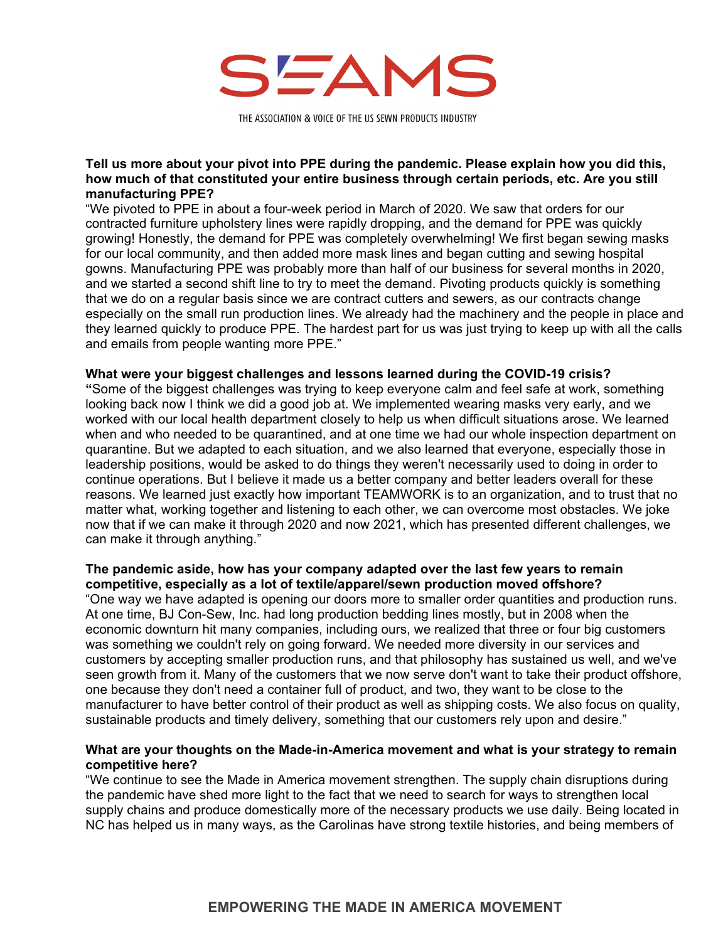

### **Tell us more about your pivot into PPE during the pandemic. Please explain how you did this, how much of that constituted your entire business through certain periods, etc. Are you still manufacturing PPE?**

"We pivoted to PPE in about a four-week period in March of 2020. We saw that orders for our contracted furniture upholstery lines were rapidly dropping, and the demand for PPE was quickly growing! Honestly, the demand for PPE was completely overwhelming! We first began sewing masks for our local community, and then added more mask lines and began cutting and sewing hospital gowns. Manufacturing PPE was probably more than half of our business for several months in 2020, and we started a second shift line to try to meet the demand. Pivoting products quickly is something that we do on a regular basis since we are contract cutters and sewers, as our contracts change especially on the small run production lines. We already had the machinery and the people in place and they learned quickly to produce PPE. The hardest part for us was just trying to keep up with all the calls and emails from people wanting more PPE."

### **What were your biggest challenges and lessons learned during the COVID-19 crisis?**

**"**Some of the biggest challenges was trying to keep everyone calm and feel safe at work, something looking back now I think we did a good job at. We implemented wearing masks very early, and we worked with our local health department closely to help us when difficult situations arose. We learned when and who needed to be quarantined, and at one time we had our whole inspection department on quarantine. But we adapted to each situation, and we also learned that everyone, especially those in leadership positions, would be asked to do things they weren't necessarily used to doing in order to continue operations. But I believe it made us a better company and better leaders overall for these reasons. We learned just exactly how important TEAMWORK is to an organization, and to trust that no matter what, working together and listening to each other, we can overcome most obstacles. We joke now that if we can make it through 2020 and now 2021, which has presented different challenges, we can make it through anything."

## **The pandemic aside, how has your company adapted over the last few years to remain competitive, especially as a lot of textile/apparel/sewn production moved offshore?**

"One way we have adapted is opening our doors more to smaller order quantities and production runs. At one time, BJ Con-Sew, Inc. had long production bedding lines mostly, but in 2008 when the economic downturn hit many companies, including ours, we realized that three or four big customers was something we couldn't rely on going forward. We needed more diversity in our services and customers by accepting smaller production runs, and that philosophy has sustained us well, and we've seen growth from it. Many of the customers that we now serve don't want to take their product offshore, one because they don't need a container full of product, and two, they want to be close to the manufacturer to have better control of their product as well as shipping costs. We also focus on quality, sustainable products and timely delivery, something that our customers rely upon and desire."

### **What are your thoughts on the Made-in-America movement and what is your strategy to remain competitive here?**

"We continue to see the Made in America movement strengthen. The supply chain disruptions during the pandemic have shed more light to the fact that we need to search for ways to strengthen local supply chains and produce domestically more of the necessary products we use daily. Being located in NC has helped us in many ways, as the Carolinas have strong textile histories, and being members of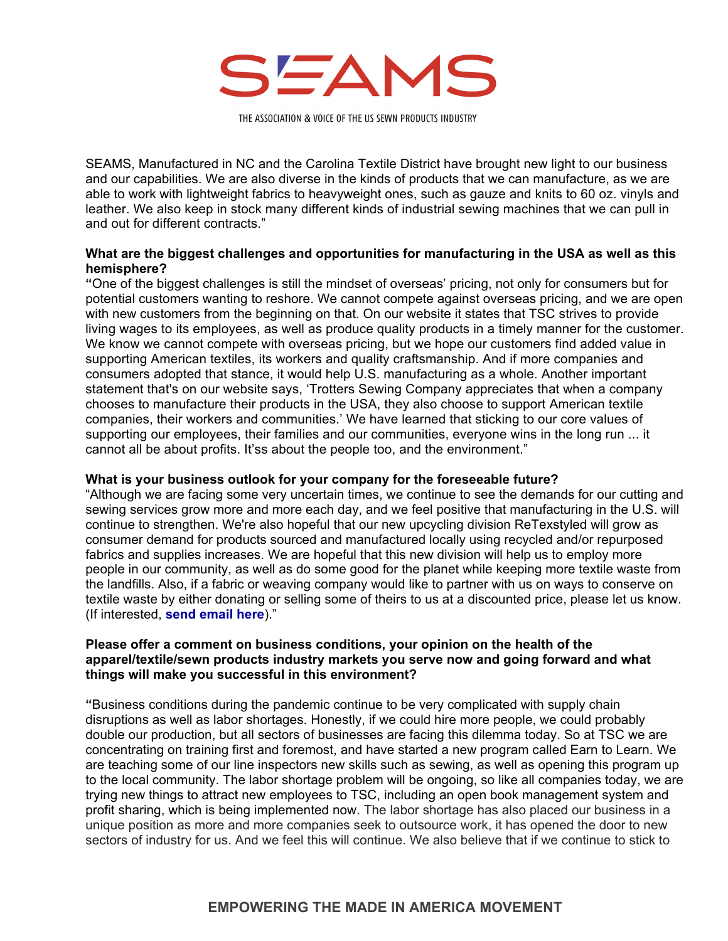

SEAMS, Manufactured in NC and the Carolina Textile District have brought new light to our business and our capabilities. We are also diverse in the kinds of products that we can manufacture, as we are able to work with lightweight fabrics to heavyweight ones, such as gauze and knits to 60 oz. vinyls and leather. We also keep in stock many different kinds of industrial sewing machines that we can pull in and out for different contracts."

### **What are the biggest challenges and opportunities for manufacturing in the USA as well as this hemisphere?**

**"**One of the biggest challenges is still the mindset of overseas' pricing, not only for consumers but for potential customers wanting to reshore. We cannot compete against overseas pricing, and we are open with new customers from the beginning on that. On our website it states that TSC strives to provide living wages to its employees, as well as produce quality products in a timely manner for the customer. We know we cannot compete with overseas pricing, but we hope our customers find added value in supporting American textiles, its workers and quality craftsmanship. And if more companies and consumers adopted that stance, it would help U.S. manufacturing as a whole. Another important statement that's on our website says, 'Trotters Sewing Company appreciates that when a company chooses to manufacture their products in the USA, they also choose to support American textile companies, their workers and communities.' We have learned that sticking to our core values of supporting our employees, their families and our communities, everyone wins in the long run ... it cannot all be about profits. It'ss about the people too, and the environment."

#### **What is your business outlook for your company for the foreseeable future?**

"Although we are facing some very uncertain times, we continue to see the demands for our cutting and sewing services grow more and more each day, and we feel positive that manufacturing in the U.S. will continue to strengthen. We're also hopeful that our new upcycling division ReTexstyled will grow as consumer demand for products sourced and manufactured locally using recycled and/or repurposed fabrics and supplies increases. We are hopeful that this new division will help us to employ more people in our community, as well as do some good for the planet while keeping more textile waste from the landfills. Also, if a fabric or weaving company would like to partner with us on ways to conserve on textile waste by either donating or selling some of theirs to us at a discounted price, please let us know. (If interested, **[send email here](mailto:lori@trotterssewing.com)**)."

### **Please offer a comment on business conditions, your opinion on the health of the apparel/textile/sewn products industry markets you serve now and going forward and what things will make you successful in this environment?**

**"**Business conditions during the pandemic continue to be very complicated with supply chain disruptions as well as labor shortages. Honestly, if we could hire more people, we could probably double our production, but all sectors of businesses are facing this dilemma today. So at TSC we are concentrating on training first and foremost, and have started a new program called Earn to Learn. We are teaching some of our line inspectors new skills such as sewing, as well as opening this program up to the local community. The labor shortage problem will be ongoing, so like all companies today, we are trying new things to attract new employees to TSC, including an open book management system and profit sharing, which is being implemented now. The labor shortage has also placed our business in a unique position as more and more companies seek to outsource work, it has opened the door to new sectors of industry for us. And we feel this will continue. We also believe that if we continue to stick to

# **EMPOWERING THE MADE IN AMERICA MOVEMENT**